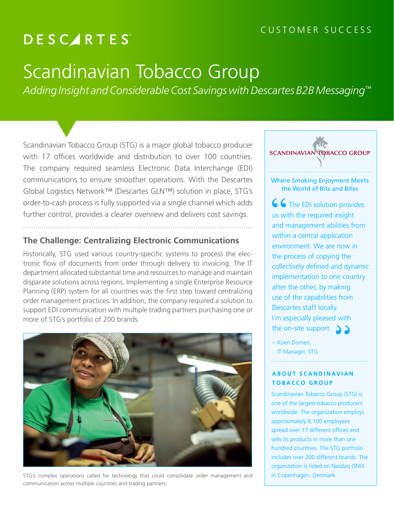#### CUSTOMER SUCCESS

## **DESCARTES**

# Scandinavian Tobacco Group

*Adding Insight and Considerable Cost Savings with Descartes B2B Messaging™*

Scandinavian Tobacco Group (STG) is a major global tobacco producer with 17 offices worldwide and distribution to over 100 countries. The company required seamless Electronic Data Interchange (EDI) communications to ensure smoother operations. With the Descartes Global Logistics Network™ (Descartes GLN™) solution in place, STG's order-to-cash process is fully supported via a single channel which adds further control, provides a clearer overview and delivers cost savings.

#### **The Challenge: Centralizing Electronic Communications**

Historically, STG used various country-specific systems to process the electronic flow of documents from order through delivery to invoicing. The IT department allocated substantial time and resources to manage and maintain disparate solutions across regions. Implementing a single Enterprise Resource Planning (ERP) system for all countries was the first step toward centralizing order management practices. In addition, the company required a solution to support EDI communication with multiple trading partners purchasing one or more of STG's portfolio of 200 brands.



STG's complex operations called for technology that could consolidate order management and communication across multiple countries and trading partners.



the World of Bits and Bites

66 The EDI solution provides us with the required insight and management abilities from within a central application environment. We are now in the process of copying the collectively defined and dynamic implementation to one country after the other, by making use of the capabilities from Descartes staff locally. I'm especially pleased with the on-site support.  $\sum$ 

– Koen Domen, IT Manager, STG

#### **ABOUT SCANDINAVIAN TOBACCO GROUP**

Scandinavian Tobacco Group (STG) is one of the largest tobacco producers worldwide. The organization employs approximately 8,100 employees spread over 17 different offices and sells its products in more than one hundred countries. The STG portfolio includes over 200 different brands. The organization is listed on Nasdaq OMX in Copenhagen, Denmark.